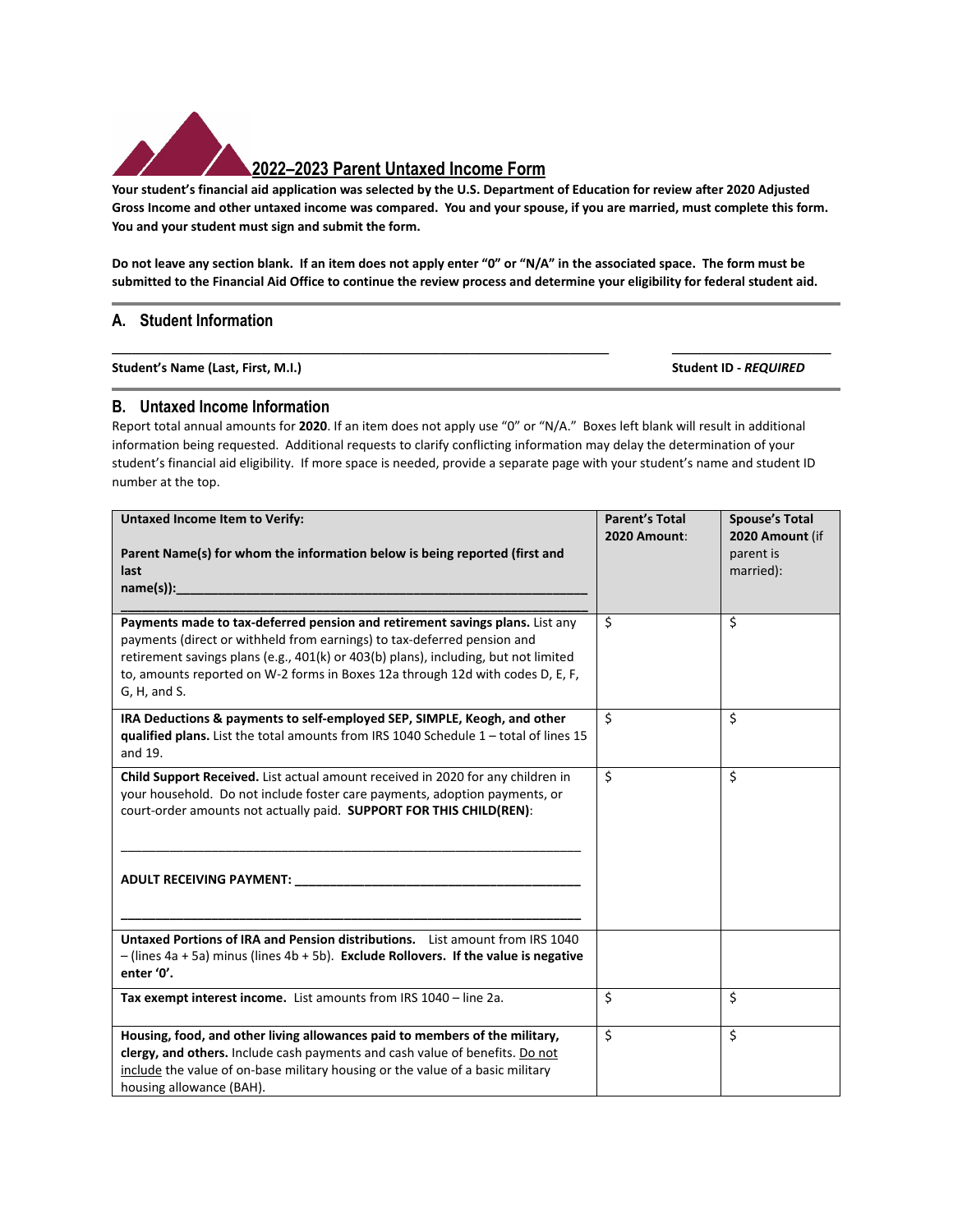

## **2022–2023 Parent Untaxed Income Form**

Your student's financial aid application was selected by the U.S. Department of Education for review after 2020 Adjusted Gross Income and other untaxed income was compared. You and your spouse, if you are married, must complete this form. **You and your student must sign and submit the form.** 

Do not leave any section blank. If an item does not apply enter "0" or "N/A" in the associated space. The form must be submitted to the Financial Aid Office to continue the review process and determine your eligibility for federal student aid.

**\_\_\_\_\_\_\_\_\_\_\_\_\_\_\_\_\_\_\_\_\_\_\_\_\_\_\_\_\_\_\_\_\_\_\_\_\_\_\_\_\_\_\_\_\_\_\_\_\_\_ \_\_\_\_\_\_\_\_\_\_\_\_\_\_\_\_** 

## **A. Student Information**

**Student's Name (Last, First, M.I.) Student ID ‐** *REQUIRED*

## **B. Untaxed Income Information**

Report total annual amounts for **2020**. If an item does not apply use "0" or "N/A." Boxes left blank will result in additional information being requested. Additional requests to clarify conflicting information may delay the determination of your student's financial aid eligibility.If more space is needed, provide a separate page with your student's name and student ID number at the top.

| <b>Untaxed Income Item to Verify:</b>                                                                                                                                                                                                                                                                                                            | <b>Parent's Total</b> | <b>Spouse's Total</b>                     |
|--------------------------------------------------------------------------------------------------------------------------------------------------------------------------------------------------------------------------------------------------------------------------------------------------------------------------------------------------|-----------------------|-------------------------------------------|
| Parent Name(s) for whom the information below is being reported (first and<br>last<br>$name(s))$ :                                                                                                                                                                                                                                               | 2020 Amount:          | 2020 Amount (if<br>parent is<br>married): |
| Payments made to tax-deferred pension and retirement savings plans. List any<br>payments (direct or withheld from earnings) to tax-deferred pension and<br>retirement savings plans (e.g., 401(k) or 403(b) plans), including, but not limited<br>to, amounts reported on W-2 forms in Boxes 12a through 12d with codes D, E, F,<br>G, H, and S. | \$                    | Ś.                                        |
| IRA Deductions & payments to self-employed SEP, SIMPLE, Keogh, and other<br>gualified plans. List the total amounts from IRS 1040 Schedule 1 - total of lines 15<br>and 19.                                                                                                                                                                      | \$                    | \$                                        |
| Child Support Received. List actual amount received in 2020 for any children in<br>your household. Do not include foster care payments, adoption payments, or<br>court-order amounts not actually paid. SUPPORT FOR THIS CHILD(REN):                                                                                                             | \$                    | \$                                        |
|                                                                                                                                                                                                                                                                                                                                                  |                       |                                           |
| <b>Untaxed Portions of IRA and Pension distributions.</b> List amount from IRS 1040<br>$-$ (lines 4a + 5a) minus (lines 4b + 5b). Exclude Rollovers. If the value is negative<br>enter '0'.                                                                                                                                                      |                       |                                           |
| Tax exempt interest income. List amounts from IRS 1040 - line 2a.                                                                                                                                                                                                                                                                                | \$                    | \$                                        |
| Housing, food, and other living allowances paid to members of the military,<br>clergy, and others. Include cash payments and cash value of benefits. Do not<br>include the value of on-base military housing or the value of a basic military<br>housing allowance (BAH).                                                                        | \$                    | $\overline{\mathsf{S}}$                   |